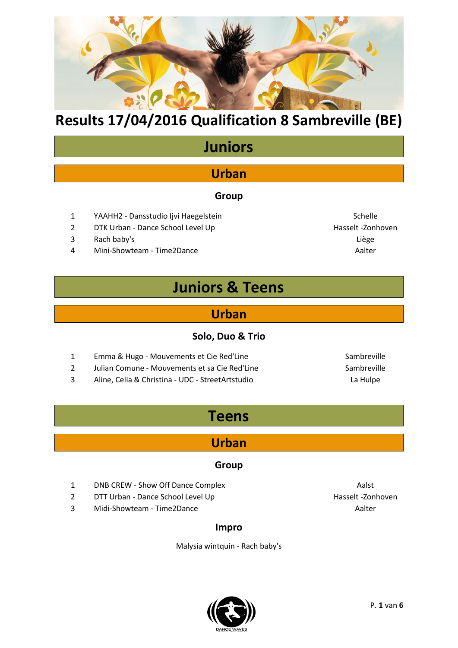

# **Juniors**

## **Urban**

#### **Group**

- 1 YAAHH2 Dansstudio Ijvi Haegelstein Schelle
- 2 DTK Urban Dance School Level Up **Accord 19 Foundation** Hasselt -Zonhoven
- 3 Rach baby's Liège
- 4 Mini-Showteam Time2Dance And Account 2012 12:00 Aalter

## **Juniors & Teens**

### **Urban**

#### **Solo, Duo & Trio**

- 1 Emma & Hugo Mouvements et Cie Red'Line Sambreville Sambreville 2 Julian Comune - Mouvements et sa Cie Red'Line Sambreville
- 3 Aline, Celia & Christina UDC StreetArtstudio La Hulpe
- 

## **Teens**

### **Urban**

#### **Group**

- 1 DNB CREW Show Off Dance Complex **Aalso** Aalst
- 2 DTT Urban Dance School Level Up **Accord 19 and Accord 19 and Accord 19 and 19 and 19 and 19 and 19 and 19 and 19 and 19 and 19 and 19 and 19 and 19 and 19 and 19 and 19 and 19 and 19 and 19 and 19 and 19 and 19 and 19**
- 3 Midi-Showteam Time2Dance Aalter Aalter

#### **Impro**

Malysia wintquin - Rach baby's



P. **1** van **6**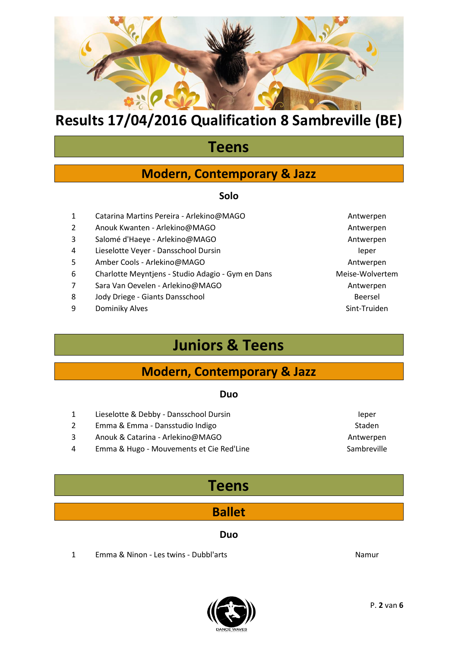

## **Teens**

### **Modern, Contemporary & Jazz**

#### **Solo**

- 1 Catarina Martins Pereira Arlekino@MAGO Antwerpen
- 2 Anouk Kwanten Arlekino@MAGO Antwerpen
- 3 Salomé d'Haeye Arlekino@MAGO Antwerpen
- 4 Lieselotte Veyer Dansschool Dursin International International Ieper
- 5 Amber Cools Arlekino@MAGO Antwerpen
- 6 Charlotte Meyntjens Studio Adagio Gym en Dans Meise-Wolvertem
- 7 Sara Van Oevelen Arlekino@MAGO Antwerpen
- 8 Jody Driege Giants Dansschool Beersel Beersel
- 9 Dominiky Alves **Sint-Truiden**

## **Juniors & Teens**

### **Modern, Contemporary & Jazz**

#### **Duo**

- 1 Lieselotte & Debby Dansschool Dursin International International Ieper 2 Emma & Emma - Dansstudio Indigo Staden National Association of the Staden Staden
- 3 Anouk & Catarina Arlekino@MAGO Antwerpen
- 4 Emma & Hugo Mouvements et Cie Red'Line Sambreville Sambreville

## **Teens**

### **Ballet**

#### **Duo**

- 1 Emma & Ninon Les twins Dubbl'arts Namur
	-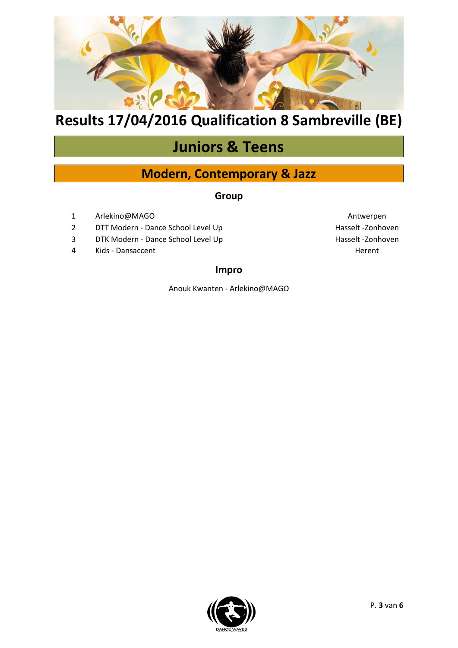

# **Juniors & Teens**

### **Modern, Contemporary & Jazz**

#### **Group**

- 1 [Arlekino@MAGO](mailto:Arlekino@MAGO) Antwerpen
- 2 DTT Modern Dance School Level Up determines the School State Hasselt -Zonhoven
- 3 DTK Modern Dance School Level Up determines the State Hasselt -Zonhoven
- 4 Kids Dansaccent Herent Herent Herent Herent Herent Herent Herent Herent Herent Herent Herent Herent Herent

#### **Impro**

Anouk Kwanten - Arlekino@MAGO

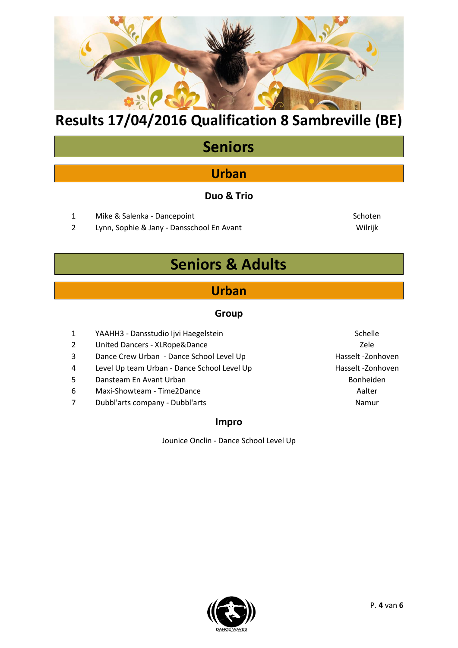

# **Seniors**

## **Urban**

#### **Duo & Trio**

- 1 Mike & Salenka Dancepoint Schoten Schoten Schoten Schoten Schoten Schoten Schoten Schoten Schoten Schoten Schoten Schoten Schoten Schoten Schoten Schoten Schoten Schoten Schoten Schoten Schoten Schoten Schoten Schoten
- 2 Lynn, Sophie & Jany Dansschool En Avant Villed Area Milrijk

## **Seniors & Adults**

### **Urban**

#### **Group**

- 1 YAAHH3 Dansstudio Ijvi Haegelstein Schelle Schelle
- 2 United Dancers XLRope&Dance **National Accord Paradeters** Zele
- 3 Dance Crew Urban Dance School Level Up Hasselt -Zonhoven
- 4 Level Up team Urban Dance School Level Up Hasselt -Zonhoven
- 5 Dansteam En Avant Urban Bonheiden Bonheiden
- 6 Maxi-Showteam Time2Dance Aalter
- 7 Dubbl'arts company Dubbl'arts Namur

#### **Impro**

Jounice Onclin - Dance School Level Up

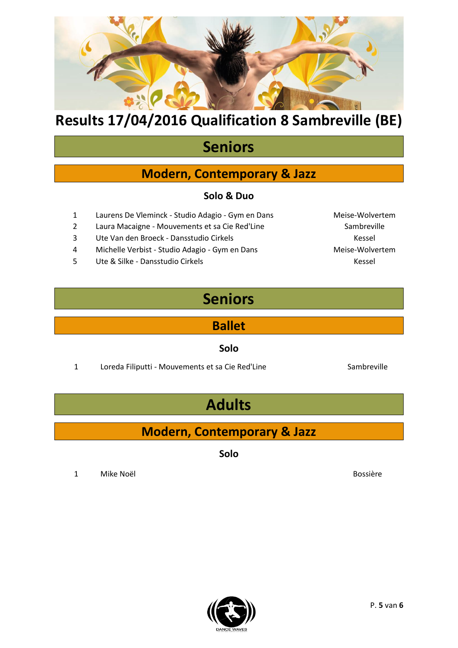

# **Seniors**

## **Modern, Contemporary & Jazz**

#### **Solo & Duo**

- 1 Laurens De Vleminck Studio Adagio Gym en Dans Meise-Wolvertem
- 2 Laura Macaigne Mouvements et sa Cie Red'Line Sambreville
- 3 Ute Van den Broeck Dansstudio Cirkels Kessel Kessel
- 4 Michelle Verbist Studio Adagio Gym en Dans Meise-Wolvertem
- 5 Ute & Silke Dansstudio Cirkels Kessel Kessel Kessel

# **Seniors**

**Ballet**

**Solo**

1 Loreda Filiputti - Mouvements et sa Cie Red'Line Sambreville

# **Adults**

## **Modern, Contemporary & Jazz**

**Solo**

1 Mike Noël Bossière



P. **5** van **6**